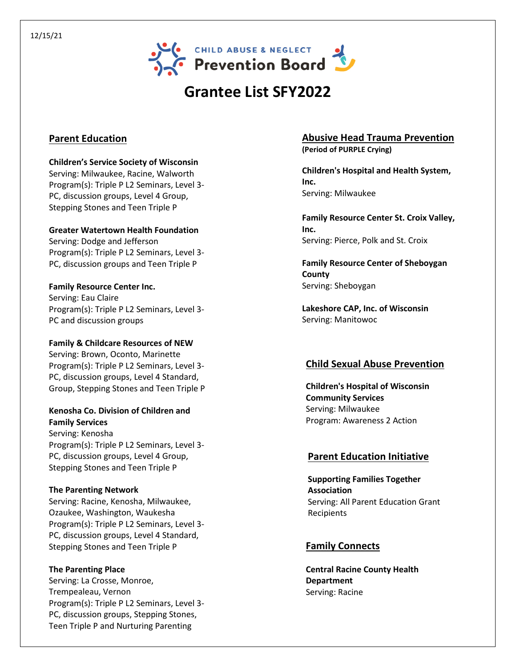### 12/15/21



# **Grantee List SFY2022**

## **Parent Education**

### **Children's Service Society of Wisconsin**

Serving: Milwaukee, Racine, Walworth Program(s): Triple P L2 Seminars, Level 3- PC, discussion groups, Level 4 Group, Stepping Stones and Teen Triple P

### **Greater Watertown Health Foundation**

Serving: Dodge and Jefferson Program(s): Triple P L2 Seminars, Level 3- PC, discussion groups and Teen Triple P

### **Family Resource Center Inc.**

Serving: Eau Claire Program(s): Triple P L2 Seminars, Level 3- PC and discussion groups

## **Family & Childcare Resources of NEW**

Serving: Brown, Oconto, Marinette Program(s): Triple P L2 Seminars, Level 3- PC, discussion groups, Level 4 Standard, Group, Stepping Stones and Teen Triple P

## **Kenosha Co. Division of Children and Family Services**

Serving: Kenosha Program(s): Triple P L2 Seminars, Level 3- PC, discussion groups, Level 4 Group, Stepping Stones and Teen Triple P

### **The Parenting Network**

Serving: Racine, Kenosha, Milwaukee, Ozaukee, Washington, Waukesha Program(s): Triple P L2 Seminars, Level 3- PC, discussion groups, Level 4 Standard, Stepping Stones and Teen Triple P

### **The Parenting Place**  Serving: La Crosse, Monroe, Trempealeau, Vernon Program(s): Triple P L2 Seminars, Level 3- PC, discussion groups, Stepping Stones, Teen Triple P and Nurturing Parenting

# **Abusive Head Trauma Prevention**

**(Period of PURPLE Crying)** 

**Children's Hospital and Health System, Inc.** Serving: Milwaukee

**Family Resource Center St. Croix Valley, Inc.** Serving: Pierce, Polk and St. Croix

**Family Resource Center of Sheboygan County** Serving: Sheboygan

**Lakeshore CAP, Inc. of Wisconsin** Serving: Manitowoc

## **Child Sexual Abuse Prevention**

**Children's Hospital of Wisconsin Community Services** Serving: Milwaukee Program: Awareness 2 Action

## **Parent Education Initiative**

**Supporting Families Together Association**  Serving: All Parent Education Grant Recipients

## **Family Connects**

**Central Racine County Health Department** Serving: Racine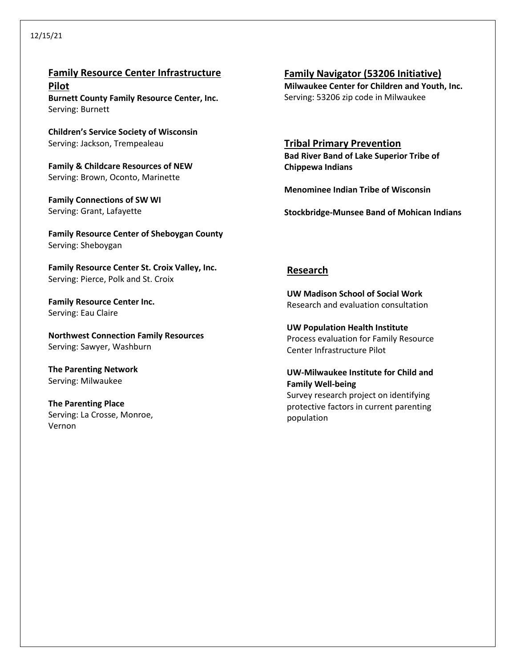### 12/15/21

**Family Resource Center Infrastructure Pilot Burnett County Family Resource Center, Inc.** Serving: Burnett

**Children's Service Society of Wisconsin** Serving: Jackson, Trempealeau

**Family & Childcare Resources of NEW** Serving: Brown, Oconto, Marinette

**Family Connections of SW WI** Serving: Grant, Lafayette

**Family Resource Center of Sheboygan County** Serving: Sheboygan

**Family Resource Center St. Croix Valley, Inc.** Serving: Pierce, Polk and St. Croix

**Family Resource Center Inc.** Serving: Eau Claire

**Northwest Connection Family Resources** Serving: Sawyer, Washburn

**The Parenting Network** Serving: Milwaukee

**The Parenting Place** Serving: La Crosse, Monroe, Vernon

### **Family Navigator (53206 Initiative)**

**Milwaukee Center for Children and Youth, Inc.** Serving: 53206 zip code in Milwaukee

**Tribal Primary Prevention Bad River Band of Lake Superior Tribe of Chippewa Indians**

**Menominee Indian Tribe of Wisconsin**

**Stockbridge-Munsee Band of Mohican Indians**

### **Research**

**UW Madison School of Social Work** Research and evaluation consultation

**UW Population Health Institute** Process evaluation for Family Resource Center Infrastructure Pilot

## **UW-Milwaukee Institute for Child and Family Well-being**

Survey research project on identifying protective factors in current parenting population